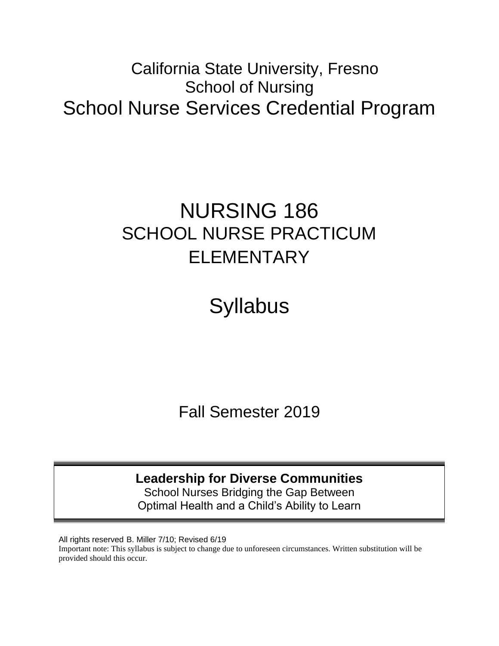## California State University, Fresno School of Nursing School Nurse Services Credential Program

# NURSING 186 SCHOOL NURSE PRACTICUM ELEMENTARY

**Syllabus** 

Fall Semester 2019

**Leadership for Diverse Communities**

School Nurses Bridging the Gap Between Optimal Health and a Child's Ability to Learn

All rights reserved B. Miller 7/10; Revised 6/19 Important note: This syllabus is subject to change due to unforeseen circumstances. Written substitution will be provided should this occur.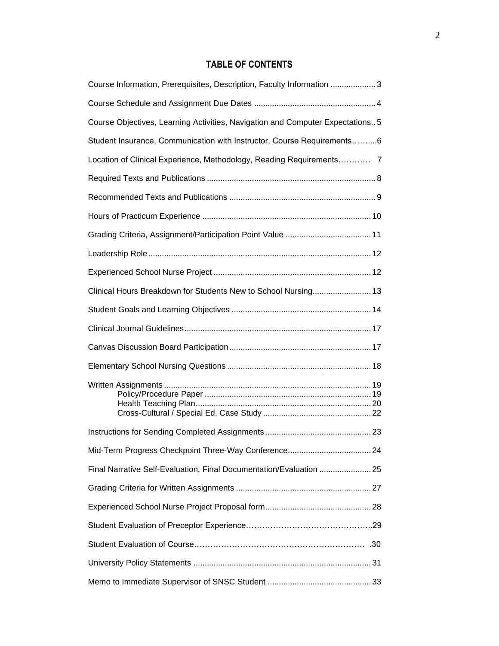## **TABLE OF CONTENTS**

| Course Information, Prerequisites, Description, Faculty Information 3          |  |
|--------------------------------------------------------------------------------|--|
|                                                                                |  |
| Course Objectives, Learning Activities, Navigation and Computer Expectations 5 |  |
| Student Insurance, Communication with Instructor, Course Requirements6         |  |
| Location of Clinical Experience, Methodology, Reading Requirements 7           |  |
|                                                                                |  |
|                                                                                |  |
|                                                                                |  |
|                                                                                |  |
|                                                                                |  |
|                                                                                |  |
| Clinical Hours Breakdown for Students New to School Nursing 13                 |  |
|                                                                                |  |
|                                                                                |  |
|                                                                                |  |
|                                                                                |  |
|                                                                                |  |
|                                                                                |  |
|                                                                                |  |
| Final Narrative Self-Evaluation, Final Documentation/Evaluation  25            |  |
|                                                                                |  |
|                                                                                |  |
|                                                                                |  |
|                                                                                |  |
|                                                                                |  |
|                                                                                |  |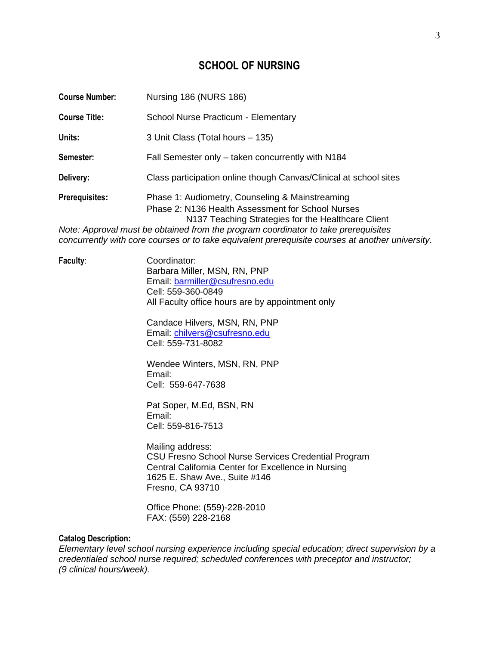## **SCHOOL OF NURSING**

| <b>Course Number:</b> | Nursing 186 (NURS 186)                                                                                                                                                                                                                                                                                                                               |
|-----------------------|------------------------------------------------------------------------------------------------------------------------------------------------------------------------------------------------------------------------------------------------------------------------------------------------------------------------------------------------------|
| <b>Course Title:</b>  | School Nurse Practicum - Elementary                                                                                                                                                                                                                                                                                                                  |
| Units:                | 3 Unit Class (Total hours - 135)                                                                                                                                                                                                                                                                                                                     |
| Semester:             | Fall Semester only - taken concurrently with N184                                                                                                                                                                                                                                                                                                    |
| Delivery:             | Class participation online though Canvas/Clinical at school sites                                                                                                                                                                                                                                                                                    |
| <b>Prerequisites:</b> | Phase 1: Audiometry, Counseling & Mainstreaming<br>Phase 2: N136 Health Assessment for School Nurses<br>N137 Teaching Strategies for the Healthcare Client<br>Note: Approval must be obtained from the program coordinator to take prerequisites<br>concurrently with core courses or to take equivalent prerequisite courses at another university. |

**Faculty**: Coordinator: Barbara Miller, MSN, RN, PNP Email: [barmiller@csufresno.edu](mailto:barmiller@csufresno.edu) Cell: 559-360-0849 All Faculty office hours are by appointment only

> Candace Hilvers, MSN, RN, PNP Email: [chilvers@csufresno.edu](mailto:chilvers@csufresno.edu) Cell: 559-731-8082

> Wendee Winters, MSN, RN, PNP Email: Cell: 559-647-7638

Pat Soper, M.Ed, BSN, RN Email: Cell: 559-816-7513

Mailing address: CSU Fresno School Nurse Services Credential Program Central California Center for Excellence in Nursing 1625 E. Shaw Ave., Suite #146 Fresno, CA 93710

Office Phone: (559)-228-2010 FAX: (559) 228-2168

#### **Catalog Description:**

*Elementary level school nursing experience including special education; direct supervision by a credentialed school nurse required; scheduled conferences with preceptor and instructor; (9 clinical hours/week).*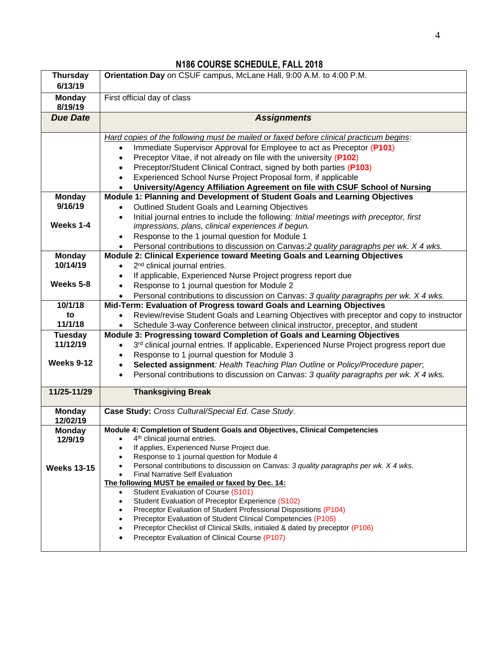| <b>Thursday</b><br>6/13/19 | Orientation Day on CSUF campus, McLane Hall, 9:00 A.M. to 4:00 P.M.                                                                                                                                                                                                                                                                                                                                                                                                                                                          |  |
|----------------------------|------------------------------------------------------------------------------------------------------------------------------------------------------------------------------------------------------------------------------------------------------------------------------------------------------------------------------------------------------------------------------------------------------------------------------------------------------------------------------------------------------------------------------|--|
| <b>Monday</b><br>8/19/19   | First official day of class                                                                                                                                                                                                                                                                                                                                                                                                                                                                                                  |  |
| <b>Due Date</b>            | <b>Assignments</b>                                                                                                                                                                                                                                                                                                                                                                                                                                                                                                           |  |
|                            | Hard copies of the following must be mailed or faxed before clinical practicum begins:<br>Immediate Supervisor Approval for Employee to act as Preceptor (P101)<br>$\bullet$<br>Preceptor Vitae, if not already on file with the university (P102)<br>$\bullet$<br>Preceptor/Student Clinical Contract, signed by both parties (P103)<br>$\bullet$<br>Experienced School Nurse Project Proposal form, if applicable<br>$\bullet$<br>University/Agency Affiliation Agreement on file with CSUF School of Nursing<br>$\bullet$ |  |
| <b>Monday</b>              | Module 1: Planning and Development of Student Goals and Learning Objectives                                                                                                                                                                                                                                                                                                                                                                                                                                                  |  |
| 9/16/19                    | Outlined Student Goals and Learning Objectives<br>$\bullet$                                                                                                                                                                                                                                                                                                                                                                                                                                                                  |  |
|                            | Initial journal entries to include the following: Initial meetings with preceptor, first<br>$\bullet$                                                                                                                                                                                                                                                                                                                                                                                                                        |  |
| Weeks 1-4                  | impressions, plans, clinical experiences if begun.                                                                                                                                                                                                                                                                                                                                                                                                                                                                           |  |
|                            | Response to the 1 journal question for Module 1<br>$\bullet$                                                                                                                                                                                                                                                                                                                                                                                                                                                                 |  |
|                            | Personal contributions to discussion on Canvas: 2 quality paragraphs per wk. X 4 wks.<br>$\bullet$                                                                                                                                                                                                                                                                                                                                                                                                                           |  |
| <b>Monday</b>              | Module 2: Clinical Experience toward Meeting Goals and Learning Objectives                                                                                                                                                                                                                                                                                                                                                                                                                                                   |  |
| 10/14/19                   | 2 <sup>nd</sup> clinical journal entries.<br>$\bullet$                                                                                                                                                                                                                                                                                                                                                                                                                                                                       |  |
|                            | If applicable, Experienced Nurse Project progress report due                                                                                                                                                                                                                                                                                                                                                                                                                                                                 |  |
| Weeks 5-8                  | Response to 1 journal question for Module 2<br>$\bullet$                                                                                                                                                                                                                                                                                                                                                                                                                                                                     |  |
|                            | Personal contributions to discussion on Canvas: 3 quality paragraphs per wk. X 4 wks.                                                                                                                                                                                                                                                                                                                                                                                                                                        |  |
| 10/1/18                    | Mid-Term: Evaluation of Progress toward Goals and Learning Objectives                                                                                                                                                                                                                                                                                                                                                                                                                                                        |  |
| to                         | Review/revise Student Goals and Learning Objectives with preceptor and copy to instructor                                                                                                                                                                                                                                                                                                                                                                                                                                    |  |
| 11/1/18                    | Schedule 3-way Conference between clinical instructor, preceptor, and student                                                                                                                                                                                                                                                                                                                                                                                                                                                |  |
| <b>Tuesday</b>             | Module 3: Progressing toward Completion of Goals and Learning Objectives                                                                                                                                                                                                                                                                                                                                                                                                                                                     |  |
| 11/12/19                   | 3 <sup>rd</sup> clinical journal entries. If applicable, Experienced Nurse Project progress report due<br>$\bullet$                                                                                                                                                                                                                                                                                                                                                                                                          |  |
|                            | Response to 1 journal question for Module 3                                                                                                                                                                                                                                                                                                                                                                                                                                                                                  |  |
| Weeks 9-12                 | Selected assignment: Health Teaching Plan Outline or Policy/Procedure paper,<br>$\bullet$                                                                                                                                                                                                                                                                                                                                                                                                                                    |  |
|                            | Personal contributions to discussion on Canvas: 3 quality paragraphs per wk. X 4 wks.<br>$\bullet$                                                                                                                                                                                                                                                                                                                                                                                                                           |  |
| 11/25-11/29                | <b>Thanksgiving Break</b>                                                                                                                                                                                                                                                                                                                                                                                                                                                                                                    |  |
| <b>Monday</b>              | Case Study: Cross Cultural/Special Ed. Case Study.                                                                                                                                                                                                                                                                                                                                                                                                                                                                           |  |
| 12/02/19                   |                                                                                                                                                                                                                                                                                                                                                                                                                                                                                                                              |  |
| <b>Monday</b>              | Module 4: Completion of Student Goals and Objectives, Clinical Competencies                                                                                                                                                                                                                                                                                                                                                                                                                                                  |  |
| 12/9/19                    | 4 <sup>th</sup> clinical journal entries.                                                                                                                                                                                                                                                                                                                                                                                                                                                                                    |  |
|                            | If applies, Experienced Nurse Project due.<br>Response to 1 journal question for Module 4                                                                                                                                                                                                                                                                                                                                                                                                                                    |  |
| <b>Weeks 13-15</b>         | Personal contributions to discussion on Canvas: 3 quality paragraphs per wk. X 4 wks.                                                                                                                                                                                                                                                                                                                                                                                                                                        |  |
|                            | <b>Final Narrative Self Evaluation</b>                                                                                                                                                                                                                                                                                                                                                                                                                                                                                       |  |
|                            | The following MUST be emailed or faxed by Dec. 14:                                                                                                                                                                                                                                                                                                                                                                                                                                                                           |  |
|                            | Student Evaluation of Course (S101)                                                                                                                                                                                                                                                                                                                                                                                                                                                                                          |  |
|                            | Student Evaluation of Preceptor Experience (S102)<br>$\bullet$                                                                                                                                                                                                                                                                                                                                                                                                                                                               |  |
|                            | Preceptor Evaluation of Student Professional Dispositions (P104)<br>$\bullet$                                                                                                                                                                                                                                                                                                                                                                                                                                                |  |
|                            | Preceptor Evaluation of Student Clinical Competencies (P105)<br>$\bullet$                                                                                                                                                                                                                                                                                                                                                                                                                                                    |  |
|                            | Preceptor Checklist of Clinical Skills, initialed & dated by preceptor (P106)<br>Preceptor Evaluation of Clinical Course (P107)                                                                                                                                                                                                                                                                                                                                                                                              |  |
|                            |                                                                                                                                                                                                                                                                                                                                                                                                                                                                                                                              |  |

## **N186 COURSE SCHEDULE, FALL 2018**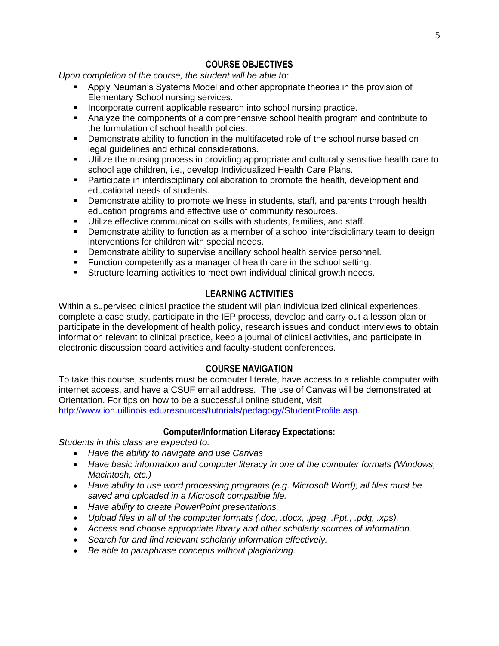## **COURSE OBJECTIVES**

*Upon completion of the course, the student will be able to:*

- **Apply Neuman's Systems Model and other appropriate theories in the provision of** Elementary School nursing services.
- Incorporate current applicable research into school nursing practice.
- Analyze the components of a comprehensive school health program and contribute to the formulation of school health policies.
- **•** Demonstrate ability to function in the multifaceted role of the school nurse based on legal guidelines and ethical considerations.
- Utilize the nursing process in providing appropriate and culturally sensitive health care to school age children, i.e., develop Individualized Health Care Plans.
- **•** Participate in interdisciplinary collaboration to promote the health, development and educational needs of students.
- **•** Demonstrate ability to promote wellness in students, staff, and parents through health education programs and effective use of community resources.
- Utilize effective communication skills with students, families, and staff.
- **•** Demonstrate ability to function as a member of a school interdisciplinary team to design interventions for children with special needs.
- Demonstrate ability to supervise ancillary school health service personnel.
- Function competently as a manager of health care in the school setting.
- **EXECT** Structure learning activities to meet own individual clinical growth needs.

### **LEARNING ACTIVITIES**

Within a supervised clinical practice the student will plan individualized clinical experiences, complete a case study, participate in the IEP process, develop and carry out a lesson plan or participate in the development of health policy, research issues and conduct interviews to obtain information relevant to clinical practice, keep a journal of clinical activities, and participate in electronic discussion board activities and faculty-student conferences.

#### **COURSE NAVIGATION**

To take this course, students must be computer literate, have access to a reliable computer with internet access, and have a CSUF email address. The use of Canvas will be demonstrated at Orientation. For tips on how to be a successful online student, visit [http://www.ion.uillinois.edu/resources/tutorials/pedagogy/StudentProfile.asp.](http://www.ion.uillinois.edu/resources/tutorials/pedagogy/StudentProfile.asp)

#### **Computer/Information Literacy Expectations:**

*Students in this class are expected to:* 

- *Have the ability to navigate and use Canvas*
- *Have basic information and computer literacy in one of the computer formats (Windows, Macintosh, etc.)*
- *Have ability to use word processing programs (e.g. Microsoft Word); all files must be saved and uploaded in a Microsoft compatible file.*
- *Have ability to create PowerPoint presentations.*
- *Upload files in all of the computer formats (.doc, .docx, .jpeg, .Ppt., .pdg, .xps).*
- *Access and choose appropriate library and other scholarly sources of information.*
- *Search for and find relevant scholarly information effectively.*
- *Be able to paraphrase concepts without plagiarizing.*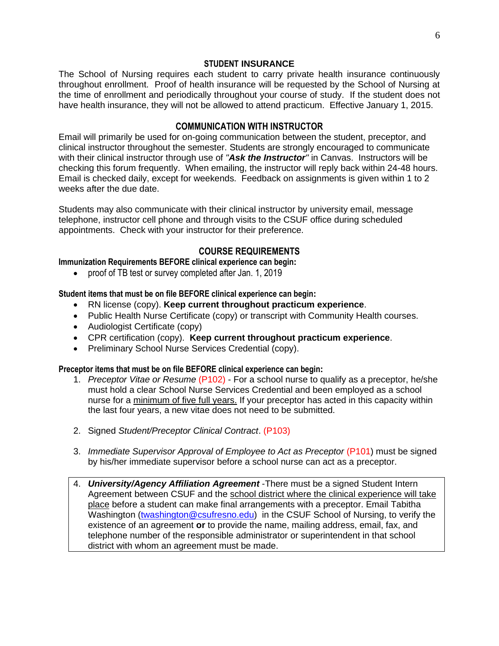#### **STUDENT INSURANCE**

The School of Nursing requires each student to carry private health insurance continuously throughout enrollment. Proof of health insurance will be requested by the School of Nursing at the time of enrollment and periodically throughout your course of study. If the student does not have health insurance, they will not be allowed to attend practicum. Effective January 1, 2015.

### **COMMUNICATION WITH INSTRUCTOR**

Email will primarily be used for on-going communication between the student, preceptor, and clinical instructor throughout the semester. Students are strongly encouraged to communicate with their clinical instructor through use of *"Ask the Instructor"* in Canvas. Instructors will be checking this forum frequently. When emailing, the instructor will reply back within 24-48 hours. Email is checked daily, except for weekends. Feedback on assignments is given within 1 to 2 weeks after the due date.

Students may also communicate with their clinical instructor by university email, message telephone, instructor cell phone and through visits to the CSUF office during scheduled appointments. Check with your instructor for their preference.

## **COURSE REQUIREMENTS**

**Immunization Requirements BEFORE clinical experience can begin:**

• proof of TB test or survey completed after Jan. 1, 2019

**Student items that must be on file BEFORE clinical experience can begin:**

- RN license (copy). **Keep current throughout practicum experience**.
- Public Health Nurse Certificate (copy) or transcript with Community Health courses.
- Audiologist Certificate (copy)
- CPR certification (copy). **Keep current throughout practicum experience**.
- Preliminary School Nurse Services Credential (copy).

#### **Preceptor items that must be on file BEFORE clinical experience can begin:**

- 1. *Preceptor Vitae or Resume* (P102) For a school nurse to qualify as a preceptor, he/she must hold a clear School Nurse Services Credential and been employed as a school nurse for a minimum of five full years. If your preceptor has acted in this capacity within the last four years, a new vitae does not need to be submitted.
- 2. Signed *Student/Preceptor Clinical Contract*. (P103)
- 3. *Immediate Supervisor Approval of Employee to Act as Preceptor (P101)* must be signed by his/her immediate supervisor before a school nurse can act as a preceptor.
- 4. *University/Agency Affiliation Agreement* -There must be a signed Student Intern Agreement between CSUF and the school district where the clinical experience will take place before a student can make final arrangements with a preceptor. Email Tabitha Washington [\(twashington@csufresno.edu\)](mailto:twashington@csufresno.edu) in the CSUF School of Nursing, to verify the existence of an agreement **or** to provide the name, mailing address, email, fax, and telephone number of the responsible administrator or superintendent in that school district with whom an agreement must be made.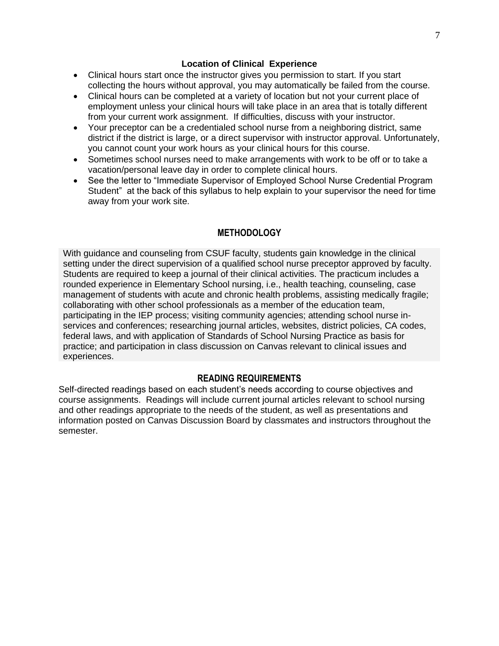#### **Location of Clinical Experience**

- Clinical hours start once the instructor gives you permission to start. If you start collecting the hours without approval, you may automatically be failed from the course.
- Clinical hours can be completed at a variety of location but not your current place of employment unless your clinical hours will take place in an area that is totally different from your current work assignment. If difficulties, discuss with your instructor.
- Your preceptor can be a credentialed school nurse from a neighboring district, same district if the district is large, or a direct supervisor with instructor approval. Unfortunately, you cannot count your work hours as your clinical hours for this course.
- Sometimes school nurses need to make arrangements with work to be off or to take a vacation/personal leave day in order to complete clinical hours.
- See the letter to "Immediate Supervisor of Employed School Nurse Credential Program Student" at the back of this syllabus to help explain to your supervisor the need for time away from your work site.

### **METHODOLOGY**

With guidance and counseling from CSUF faculty, students gain knowledge in the clinical setting under the direct supervision of a qualified school nurse preceptor approved by faculty. Students are required to keep a journal of their clinical activities. The practicum includes a rounded experience in Elementary School nursing, i.e., health teaching, counseling, case management of students with acute and chronic health problems, assisting medically fragile; collaborating with other school professionals as a member of the education team, participating in the IEP process; visiting community agencies; attending school nurse inservices and conferences; researching journal articles, websites, district policies, CA codes, federal laws, and with application of Standards of School Nursing Practice as basis for practice; and participation in class discussion on Canvas relevant to clinical issues and experiences.

#### **READING REQUIREMENTS**

Self-directed readings based on each student's needs according to course objectives and course assignments. Readings will include current journal articles relevant to school nursing and other readings appropriate to the needs of the student, as well as presentations and information posted on Canvas Discussion Board by classmates and instructors throughout the semester.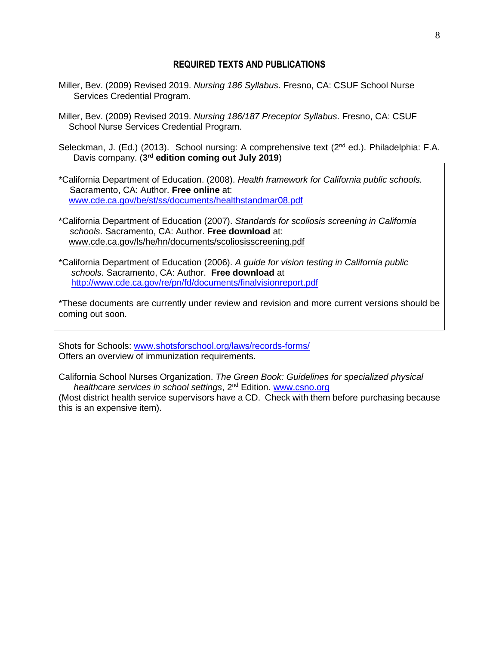#### **REQUIRED TEXTS AND PUBLICATIONS**

- Miller, Bev. (2009) Revised 2019. *Nursing 186 Syllabus*. Fresno, CA: CSUF School Nurse Services Credential Program.
- Miller, Bev. (2009) Revised 2019. *Nursing 186/187 Preceptor Syllabus*. Fresno, CA: CSUF School Nurse Services Credential Program.

Seleckman, J. (Ed.) (2013). School nursing: A comprehensive text (2<sup>nd</sup> ed.). Philadelphia: F.A. Davis company. (**3 rd edition coming out July 2019**)

\*California Department of Education. (2008). *Health framework for California public schools.*  Sacramento, CA: Author. **Free online** at: [www.cde.ca.gov/be/st/ss/documents/healthstandmar08.pdf](http://www.cde.ca.gov/be/st/ss/documents/healthstandmar08.pdf)

- \*California Department of Education (2007). *Standards for scoliosis screening in California schools*. Sacramento, CA: Author. **Free download** at: www.cde.ca.gov/ls/he/hn/documents/scoliosisscreening.pdf
- \*California Department of Education (2006). *A guide for vision testing in California public schools.* Sacramento, CA: Author. **Free download** at <http://www.cde.ca.gov/re/pn/fd/documents/finalvisionreport.pdf>

\*These documents are currently under review and revision and more current versions should be coming out soon.

Shots for Schools: [www.shotsforschool.org/laws/records-forms/](http://www.shotsforschool.org/laws/records-forms/) Offers an overview of immunization requirements.

California School Nurses Organization. *The Green Book: Guidelines for specialized physical healthcare services in school settings*, 2nd Edition. [www.csno.org](http://www.csno.org/)

(Most district health service supervisors have a CD. Check with them before purchasing because this is an expensive item).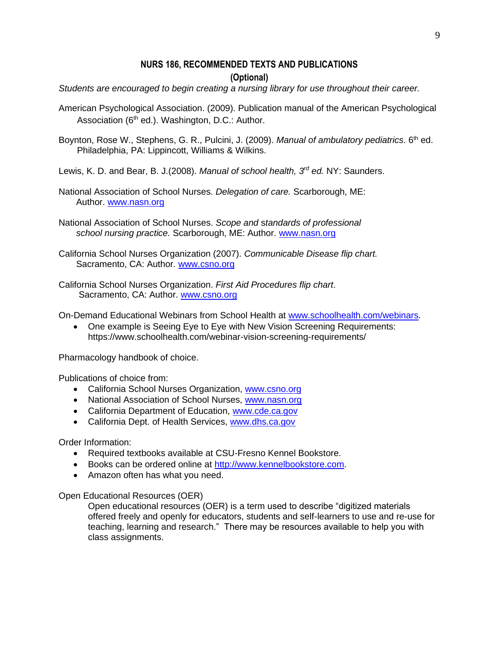## **NURS 186, RECOMMENDED TEXTS AND PUBLICATIONS**

#### **(Optional)**

*Students are encouraged to begin creating a nursing library for use throughout their career.* 

- American Psychological Association. (2009). Publication manual of the American Psychological Association ( $6<sup>th</sup>$  ed.). Washington, D.C.: Author.
- Boynton, Rose W., Stephens, G. R., Pulcini, J. (2009). *Manual of ambulatory pediatrics*. 6<sup>th</sup> ed. Philadelphia, PA: Lippincott, Williams & Wilkins.
- Lewis, K. D. and Bear, B. J.(2008). *Manual of school health, 3rd ed.* NY: Saunders.
- National Association of School Nurses. *Delegation of care.* Scarborough, ME: Author. [www.nasn.org](http://www.nasn.org/)
- National Association of School Nurses. *Scope and* s*tandards of professional school nursing practice.* Scarborough, ME: Author. [www.nasn.org](http://www.nasn.org/)
- California School Nurses Organization (2007). *Communicable Disease flip chart.*  Sacramento, CA: Author. [www.csno.org](http://www.csno.org/)
- California School Nurses Organization. *First Aid Procedures flip chart*. Sacramento, CA: Author. [www.csno.org](http://www.csno.org/)

On-Demand Educational Webinars from School Health at [www.schoolhealth.com/webinars.](http://www.schoolhealth.com/webinars)

• One example is Seeing Eye to Eye with New Vision Screening Requirements: https://www.schoolhealth.com/webinar-vision-screening-requirements/

Pharmacology handbook of choice.

Publications of choice from:

- California School Nurses Organization, [www.csno.org](http://www.csno.org/)
- National Association of School Nurses, [www.nasn.org](http://www.nasn.org/)
- California Department of Education, [www.cde.ca.gov](http://www.cde.ca.gov/)
- California Dept. of Health Services, [www.dhs.ca.gov](http://www.dhs.ca.gov/)

Order Information:

- Required textbooks available at CSU-Fresno Kennel Bookstore.
- Books can be ordered online at [http://www.kennelbookstore.com.](http://www.kennelbookstore.com/)
- Amazon often has what you need.

Open Educational Resources (OER)

Open educational resources (OER) is a term used to describe "digitized materials offered freely and openly for educators, students and self-learners to use and re-use for teaching, learning and research." There may be resources available to help you with class assignments.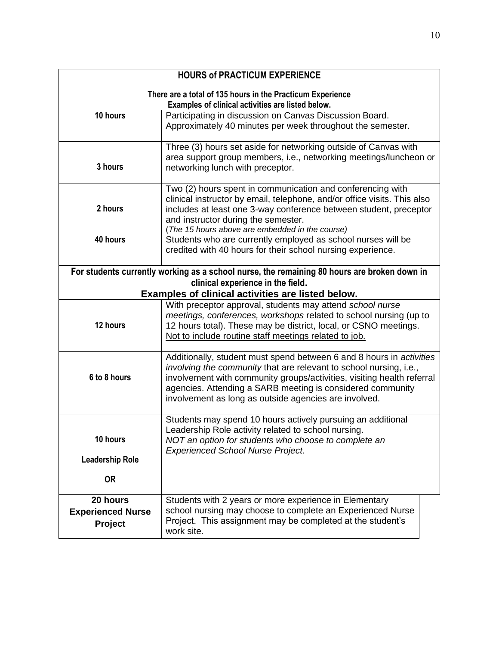| <b>HOURS of PRACTICUM EXPERIENCE</b>                                                                                                              |                                                                                             |  |  |
|---------------------------------------------------------------------------------------------------------------------------------------------------|---------------------------------------------------------------------------------------------|--|--|
| There are a total of 135 hours in the Practicum Experience<br>Examples of clinical activities are listed below.                                   |                                                                                             |  |  |
| 10 hours                                                                                                                                          | Participating in discussion on Canvas Discussion Board.                                     |  |  |
|                                                                                                                                                   | Approximately 40 minutes per week throughout the semester.                                  |  |  |
|                                                                                                                                                   | Three (3) hours set aside for networking outside of Canvas with                             |  |  |
|                                                                                                                                                   | area support group members, i.e., networking meetings/luncheon or                           |  |  |
| 3 hours                                                                                                                                           | networking lunch with preceptor.                                                            |  |  |
|                                                                                                                                                   | Two (2) hours spent in communication and conferencing with                                  |  |  |
|                                                                                                                                                   | clinical instructor by email, telephone, and/or office visits. This also                    |  |  |
| 2 hours                                                                                                                                           | includes at least one 3-way conference between student, preceptor                           |  |  |
|                                                                                                                                                   | and instructor during the semester.<br>(The 15 hours above are embedded in the course)      |  |  |
| 40 hours                                                                                                                                          | Students who are currently employed as school nurses will be                                |  |  |
|                                                                                                                                                   | credited with 40 hours for their school nursing experience.                                 |  |  |
|                                                                                                                                                   |                                                                                             |  |  |
|                                                                                                                                                   | For students currently working as a school nurse, the remaining 80 hours are broken down in |  |  |
|                                                                                                                                                   | clinical experience in the field.                                                           |  |  |
|                                                                                                                                                   | Examples of clinical activities are listed below.                                           |  |  |
|                                                                                                                                                   | With preceptor approval, students may attend school nurse                                   |  |  |
| meetings, conferences, workshops related to school nursing (up to<br>12 hours<br>12 hours total). These may be district, local, or CSNO meetings. |                                                                                             |  |  |
|                                                                                                                                                   | Not to include routine staff meetings related to job.                                       |  |  |
|                                                                                                                                                   |                                                                                             |  |  |
|                                                                                                                                                   | Additionally, student must spend between 6 and 8 hours in activities                        |  |  |
|                                                                                                                                                   | involving the community that are relevant to school nursing, i.e.,                          |  |  |
| 6 to 8 hours                                                                                                                                      | involvement with community groups/activities, visiting health referral                      |  |  |
|                                                                                                                                                   | agencies. Attending a SARB meeting is considered community                                  |  |  |
|                                                                                                                                                   | involvement as long as outside agencies are involved.                                       |  |  |
|                                                                                                                                                   | Students may spend 10 hours actively pursuing an additional                                 |  |  |
|                                                                                                                                                   | Leadership Role activity related to school nursing.                                         |  |  |
| 10 hours                                                                                                                                          | NOT an option for students who choose to complete an                                        |  |  |
|                                                                                                                                                   | <b>Experienced School Nurse Project.</b>                                                    |  |  |
| <b>Leadership Role</b>                                                                                                                            |                                                                                             |  |  |
| <b>OR</b>                                                                                                                                         |                                                                                             |  |  |
|                                                                                                                                                   |                                                                                             |  |  |
| 20 hours                                                                                                                                          | Students with 2 years or more experience in Elementary                                      |  |  |
| <b>Experienced Nurse</b>                                                                                                                          | school nursing may choose to complete an Experienced Nurse                                  |  |  |
| Project                                                                                                                                           | Project. This assignment may be completed at the student's<br>work site.                    |  |  |
|                                                                                                                                                   |                                                                                             |  |  |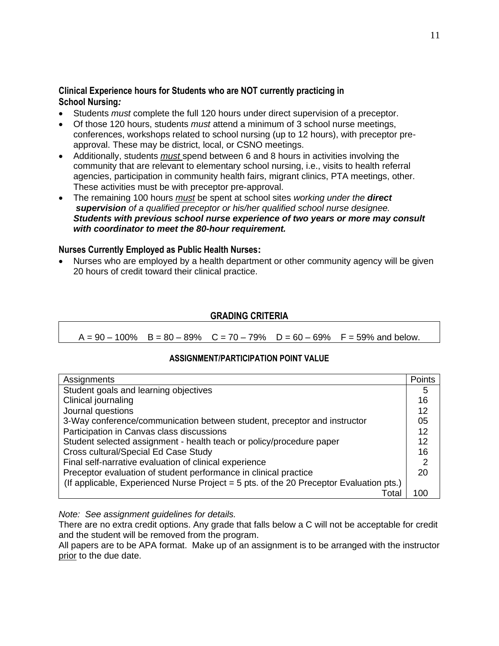#### **Clinical Experience hours for Students who are NOT currently practicing in School Nursing***:*

- Students *must* complete the full 120 hours under direct supervision of a preceptor.
- Of those 120 hours, students *must* attend a minimum of 3 school nurse meetings, conferences, workshops related to school nursing (up to 12 hours), with preceptor preapproval. These may be district, local, or CSNO meetings.
- Additionally, students *must* spend between 6 and 8 hours in activities involving the community that are relevant to elementary school nursing, i.e., visits to health referral agencies, participation in community health fairs, migrant clinics, PTA meetings, other. These activities must be with preceptor pre-approval.
- The remaining 100 hours *must* be spent at school sites *working under the direct supervision of a qualified preceptor or his/her qualified school nurse designee. Students with previous school nurse experience of two years or more may consult with coordinator to meet the 80-hour requirement.*

#### **Nurses Currently Employed as Public Health Nurses:**

• Nurses who are employed by a health department or other community agency will be given 20 hours of credit toward their clinical practice.

#### **GRADING CRITERIA**

 $A = 90 - 100\%$  B = 80 – 89% C = 70 – 79% D = 60 – 69% F = 59% and below.

#### **ASSIGNMENT/PARTICIPATION POINT VALUE**

| Assignments                                                                             | Points |
|-----------------------------------------------------------------------------------------|--------|
| Student goals and learning objectives                                                   | 5      |
| Clinical journaling                                                                     | 16     |
| Journal questions                                                                       | 12     |
| 3-Way conference/communication between student, preceptor and instructor                | 05     |
| Participation in Canvas class discussions                                               | 12     |
| Student selected assignment - health teach or policy/procedure paper                    | 12     |
| Cross cultural/Special Ed Case Study                                                    | 16     |
| Final self-narrative evaluation of clinical experience                                  | 2      |
| Preceptor evaluation of student performance in clinical practice                        | 20     |
| (If applicable, Experienced Nurse Project = 5 pts. of the 20 Preceptor Evaluation pts.) |        |
| Tota                                                                                    | 100    |

*Note: See assignment guidelines for details.*

There are no extra credit options. Any grade that falls below a C will not be acceptable for credit and the student will be removed from the program.

All papers are to be APA format. Make up of an assignment is to be arranged with the instructor prior to the due date.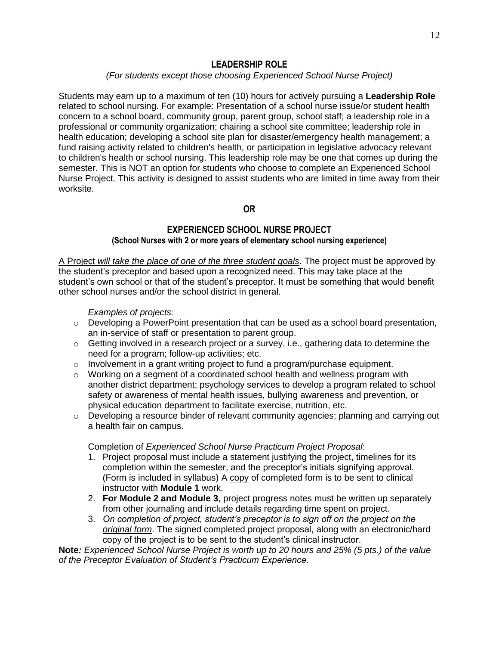#### **LEADERSHIP ROLE**

#### *(For students except those choosing Experienced School Nurse Project)*

Students may earn up to a maximum of ten (10) hours for actively pursuing a **Leadership Role** related to school nursing. For example: Presentation of a school nurse issue/or student health concern to a school board, community group, parent group, school staff; a leadership role in a professional or community organization; chairing a school site committee; leadership role in health education; developing a school site plan for disaster/emergency health management; a fund raising activity related to children's health, or participation in legislative advocacy relevant to children's health or school nursing. This leadership role may be one that comes up during the semester. This is NOT an option for students who choose to complete an Experienced School Nurse Project. This activity is designed to assist students who are limited in time away from their worksite.

**OR**

## **EXPERIENCED SCHOOL NURSE PROJECT (School Nurses with 2 or more years of elementary school nursing experience)**

A Project *will take the place of one of the three student goals*. The project must be approved by the student's preceptor and based upon a recognized need. This may take place at the student's own school or that of the student's preceptor. It must be something that would benefit other school nurses and/or the school district in general.

*Examples of projects:*

- $\circ$  Developing a PowerPoint presentation that can be used as a school board presentation, an in-service of staff or presentation to parent group.
- o Getting involved in a research project or a survey, i.e., gathering data to determine the need for a program; follow-up activities; etc.
- $\circ$  Involvement in a grant writing project to fund a program/purchase equipment.
- $\circ$  Working on a segment of a coordinated school health and wellness program with another district department; psychology services to develop a program related to school safety or awareness of mental health issues, bullying awareness and prevention, or physical education department to facilitate exercise, nutrition, etc.
- $\circ$  Developing a resource binder of relevant community agencies; planning and carrying out a health fair on campus.

Completion of *Experienced School Nurse Practicum Project Proposal*:

- 1. Project proposal must include a statement justifying the project, timelines for its completion within the semester, and the preceptor's initials signifying approval. (Form is included in syllabus) A copy of completed form is to be sent to clinical instructor with **Module 1** work.
- 2. **For Module 2 and Module 3**, project progress notes must be written up separately from other journaling and include details regarding time spent on project.
- 3. *On completion of project, student's preceptor is to sign off on the project on the original form*. The signed completed project proposal, along with an electronic/hard copy of the project is to be sent to the student's clinical instructor.

**Note***: Experienced School Nurse Project is worth up to 20 hours and 25% (5 pts.) of the value of the Preceptor Evaluation of Student's Practicum Experience.*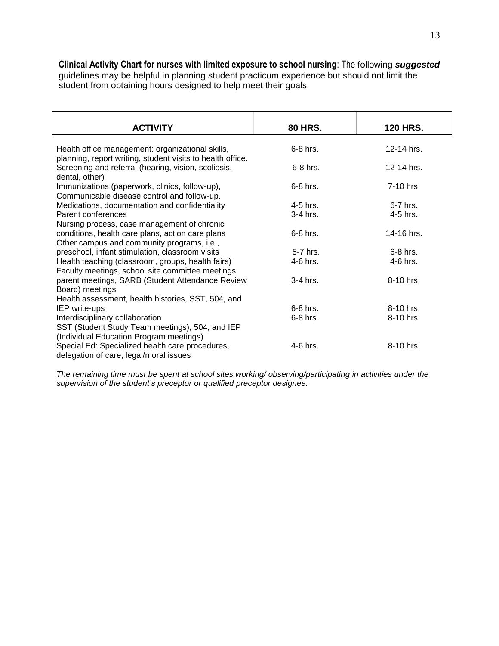**Clinical Activity Chart for nurses with limited exposure to school nursing**: The following *suggested* guidelines may be helpful in planning student practicum experience but should not limit the student from obtaining hours designed to help meet their goals.

| <b>ACTIVITY</b>                                                                                                | <b>80 HRS.</b> | <b>120 HRS.</b> |
|----------------------------------------------------------------------------------------------------------------|----------------|-----------------|
| Health office management: organizational skills,<br>planning, report writing, student visits to health office. | 6-8 hrs.       | 12-14 hrs.      |
| Screening and referral (hearing, vision, scoliosis,<br>dental, other)                                          | 6-8 hrs.       | 12-14 hrs.      |
| Immunizations (paperwork, clinics, follow-up),<br>Communicable disease control and follow-up.                  | 6-8 hrs.       | 7-10 hrs.       |
| Medications, documentation and confidentiality                                                                 | 4-5 hrs.       | 6-7 hrs.        |
| Parent conferences                                                                                             | 3-4 hrs.       | 4-5 hrs.        |
| Nursing process, case management of chronic                                                                    |                |                 |
| conditions, health care plans, action care plans                                                               | 6-8 hrs.       | 14-16 hrs.      |
| Other campus and community programs, i.e.,                                                                     |                |                 |
| preschool, infant stimulation, classroom visits                                                                | 5-7 hrs.       | $6-8$ hrs.      |
| Health teaching (classroom, groups, health fairs)<br>Faculty meetings, school site committee meetings,         | 4-6 hrs.       | 4-6 hrs.        |
| parent meetings, SARB (Student Attendance Review<br>Board) meetings                                            | 3-4 hrs.       | 8-10 hrs.       |
| Health assessment, health histories, SST, 504, and                                                             |                |                 |
| IEP write-ups                                                                                                  | $6-8$ hrs.     | $8-10$ hrs.     |
| Interdisciplinary collaboration                                                                                | 6-8 hrs.       | 8-10 hrs.       |
| SST (Student Study Team meetings), 504, and IEP                                                                |                |                 |
| (Individual Education Program meetings)                                                                        |                |                 |
| Special Ed: Specialized health care procedures,<br>delegation of care, legal/moral issues                      | 4-6 hrs.       | 8-10 hrs.       |

*The remaining time must be spent at school sites working/ observing/participating in activities under the supervision of the student's preceptor or qualified preceptor designee.*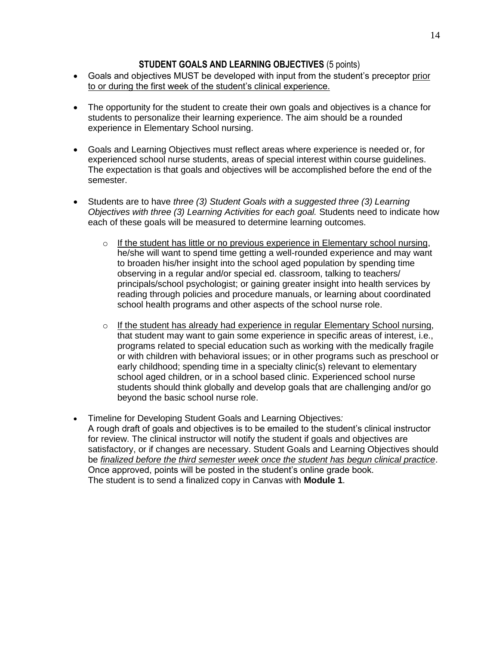#### **STUDENT GOALS AND LEARNING OBJECTIVES** (5 points)

- Goals and objectives MUST be developed with input from the student's preceptor prior to or during the first week of the student's clinical experience.
- The opportunity for the student to create their own goals and objectives is a chance for students to personalize their learning experience. The aim should be a rounded experience in Elementary School nursing.
- Goals and Learning Objectives must reflect areas where experience is needed or, for experienced school nurse students, areas of special interest within course guidelines. The expectation is that goals and objectives will be accomplished before the end of the semester.
- Students are to have *three (3) Student Goals with a suggested three (3) Learning Objectives with three (3) Learning Activities for each goal.* Students need to indicate how each of these goals will be measured to determine learning outcomes.
	- $\circ$  If the student has little or no previous experience in Elementary school nursing, he/she will want to spend time getting a well-rounded experience and may want to broaden his/her insight into the school aged population by spending time observing in a regular and/or special ed. classroom, talking to teachers/ principals/school psychologist; or gaining greater insight into health services by reading through policies and procedure manuals, or learning about coordinated school health programs and other aspects of the school nurse role.
	- $\circ$  If the student has already had experience in regular Elementary School nursing, that student may want to gain some experience in specific areas of interest, i.e., programs related to special education such as working with the medically fragile or with children with behavioral issues; or in other programs such as preschool or early childhood; spending time in a specialty clinic(s) relevant to elementary school aged children, or in a school based clinic. Experienced school nurse students should think globally and develop goals that are challenging and/or go beyond the basic school nurse role.
- Timeline for Developing Student Goals and Learning Objectives*:* A rough draft of goals and objectives is to be emailed to the student's clinical instructor for review. The clinical instructor will notify the student if goals and objectives are satisfactory, or if changes are necessary. Student Goals and Learning Objectives should be *finalized before the third semester week once the student has begun clinical practice*. Once approved, points will be posted in the student's online grade book. The student is to send a finalized copy in Canvas with **Module 1**.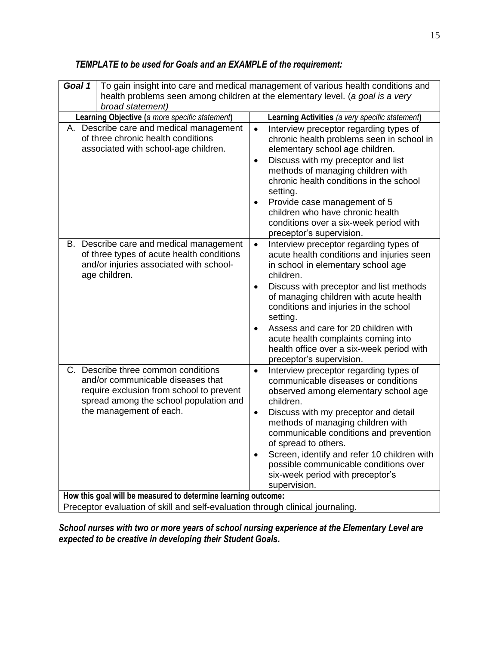| Goal 1                                                                                            | To gain insight into care and medical management of various health conditions and<br>health problems seen among children at the elementary level. (a goal is a very                       |                                                                                                                                                                                                                                                                                                                                                                                                                                                                    |  |
|---------------------------------------------------------------------------------------------------|-------------------------------------------------------------------------------------------------------------------------------------------------------------------------------------------|--------------------------------------------------------------------------------------------------------------------------------------------------------------------------------------------------------------------------------------------------------------------------------------------------------------------------------------------------------------------------------------------------------------------------------------------------------------------|--|
| broad statement)                                                                                  |                                                                                                                                                                                           |                                                                                                                                                                                                                                                                                                                                                                                                                                                                    |  |
| Learning Objective (a more specific statement)<br>Learning Activities (a very specific statement) |                                                                                                                                                                                           |                                                                                                                                                                                                                                                                                                                                                                                                                                                                    |  |
|                                                                                                   | A. Describe care and medical management<br>of three chronic health conditions<br>associated with school-age children.                                                                     | Interview preceptor regarding types of<br>$\bullet$<br>chronic health problems seen in school in<br>elementary school age children.<br>Discuss with my preceptor and list<br>$\bullet$<br>methods of managing children with<br>chronic health conditions in the school<br>setting.<br>Provide case management of 5<br>$\bullet$<br>children who have chronic health<br>conditions over a six-week period with<br>preceptor's supervision.                          |  |
|                                                                                                   | B. Describe care and medical management<br>of three types of acute health conditions<br>and/or injuries associated with school-<br>age children.                                          | Interview preceptor regarding types of<br>$\bullet$<br>acute health conditions and injuries seen<br>in school in elementary school age<br>children.<br>Discuss with preceptor and list methods<br>$\bullet$<br>of managing children with acute health<br>conditions and injuries in the school<br>setting.<br>Assess and care for 20 children with<br>acute health complaints coming into<br>health office over a six-week period with<br>preceptor's supervision. |  |
|                                                                                                   | C. Describe three common conditions<br>and/or communicable diseases that<br>require exclusion from school to prevent<br>spread among the school population and<br>the management of each. | Interview preceptor regarding types of<br>$\bullet$<br>communicable diseases or conditions<br>observed among elementary school age<br>children.<br>Discuss with my preceptor and detail<br>٠<br>methods of managing children with<br>communicable conditions and prevention<br>of spread to others.<br>Screen, identify and refer 10 children with<br>possible communicable conditions over<br>six-week period with preceptor's<br>supervision.                    |  |
| How this goal will be measured to determine learning outcome:                                     |                                                                                                                                                                                           |                                                                                                                                                                                                                                                                                                                                                                                                                                                                    |  |
| Preceptor evaluation of skill and self-evaluation through clinical journaling.                    |                                                                                                                                                                                           |                                                                                                                                                                                                                                                                                                                                                                                                                                                                    |  |

## *TEMPLATE to be used for Goals and an EXAMPLE of the requirement:*

*School nurses with two or more years of school nursing experience at the Elementary Level are expected to be creative in developing their Student Goals.*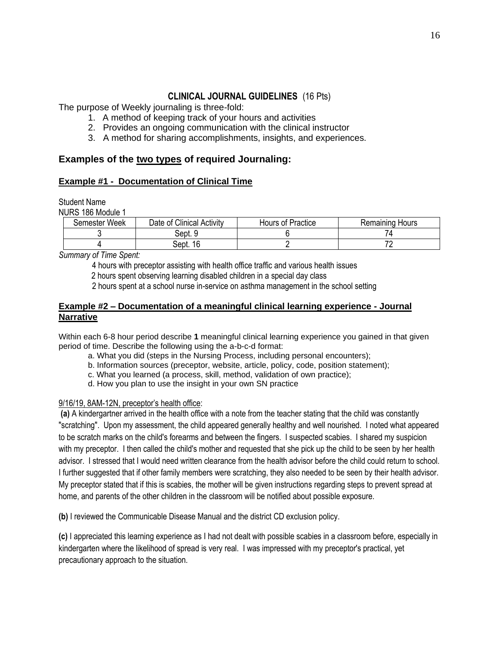## **CLINICAL JOURNAL GUIDELINES** (16 Pts)

The purpose of Weekly journaling is three-fold:

- 1. A method of keeping track of your hours and activities
- 2. Provides an ongoing communication with the clinical instructor
- 3. A method for sharing accomplishments, insights, and experiences.

## **Examples of the two types of required Journaling:**

#### **Example #1 - Documentation of Clinical Time**

Student Name

NURS 186 Module 1

| Semester Week | Date of Clinical Activity | Hours of Practice | <b>Remaining Hours</b> |
|---------------|---------------------------|-------------------|------------------------|
|               | Sept. 9                   |                   |                        |
|               | 16<br>Sept.               |                   | 71                     |

*Summary of Time Spent:* 

4 hours with preceptor assisting with health office traffic and various health issues

2 hours spent observing learning disabled children in a special day class

2 hours spent at a school nurse in-service on asthma management in the school setting

#### **Example #2 – Documentation of a meaningful clinical learning experience - Journal Narrative**

Within each 6-8 hour period describe **1** meaningful clinical learning experience you gained in that given period of time. Describe the following using the a-b-c-d format:

- a. What you did (steps in the Nursing Process, including personal encounters);
- b. Information sources (preceptor, website, article, policy, code, position statement);
- c. What you learned (a process, skill, method, validation of own practice);
- d. How you plan to use the insight in your own SN practice

#### 9/16/19, 8AM-12N, preceptor's health office:

**(a)** A kindergartner arrived in the health office with a note from the teacher stating that the child was constantly "scratching". Upon my assessment, the child appeared generally healthy and well nourished. I noted what appeared to be scratch marks on the child's forearms and between the fingers. I suspected scabies. I shared my suspicion with my preceptor. I then called the child's mother and requested that she pick up the child to be seen by her health advisor. I stressed that I would need written clearance from the health advisor before the child could return to school. I further suggested that if other family members were scratching, they also needed to be seen by their health advisor. My preceptor stated that if this is scabies, the mother will be given instructions regarding steps to prevent spread at home, and parents of the other children in the classroom will be notified about possible exposure.

**(b)** I reviewed the Communicable Disease Manual and the district CD exclusion policy.

**(c)** I appreciated this learning experience as I had not dealt with possible scabies in a classroom before, especially in kindergarten where the likelihood of spread is very real. I was impressed with my preceptor's practical, yet precautionary approach to the situation.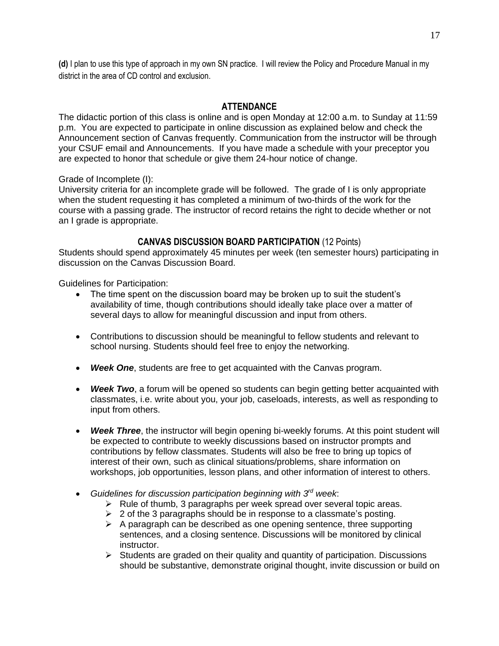**(d)** I plan to use this type of approach in my own SN practice. I will review the Policy and Procedure Manual in my district in the area of CD control and exclusion.

### **ATTENDANCE**

The didactic portion of this class is online and is open Monday at 12:00 a.m. to Sunday at 11:59 p.m. You are expected to participate in online discussion as explained below and check the Announcement section of Canvas frequently. Communication from the instructor will be through your CSUF email and Announcements. If you have made a schedule with your preceptor you are expected to honor that schedule or give them 24-hour notice of change.

Grade of Incomplete (I):

University criteria for an incomplete grade will be followed. The grade of I is only appropriate when the student requesting it has completed a minimum of two-thirds of the work for the course with a passing grade. The instructor of record retains the right to decide whether or not an I grade is appropriate.

#### **CANVAS DISCUSSION BOARD PARTICIPATION** (12 Points)

Students should spend approximately 45 minutes per week (ten semester hours) participating in discussion on the Canvas Discussion Board.

Guidelines for Participation:

- The time spent on the discussion board may be broken up to suit the student's availability of time, though contributions should ideally take place over a matter of several days to allow for meaningful discussion and input from others.
- Contributions to discussion should be meaningful to fellow students and relevant to school nursing. Students should feel free to enjoy the networking.
- *Week One*, students are free to get acquainted with the Canvas program.
- **Week Two**, a forum will be opened so students can begin getting better acquainted with classmates, i.e. write about you, your job, caseloads, interests, as well as responding to input from others.
- Week Three, the instructor will begin opening bi-weekly forums. At this point student will be expected to contribute to weekly discussions based on instructor prompts and contributions by fellow classmates. Students will also be free to bring up topics of interest of their own, such as clinical situations/problems, share information on workshops, job opportunities, lesson plans, and other information of interest to others.
- *Guidelines for discussion participation beginning with 3rd week*:
	- $\triangleright$  Rule of thumb, 3 paragraphs per week spread over several topic areas.
	- $\geq 2$  of the 3 paragraphs should be in response to a classmate's posting.
	- $\triangleright$  A paragraph can be described as one opening sentence, three supporting sentences, and a closing sentence. Discussions will be monitored by clinical instructor.
	- $\triangleright$  Students are graded on their quality and quantity of participation. Discussions should be substantive, demonstrate original thought, invite discussion or build on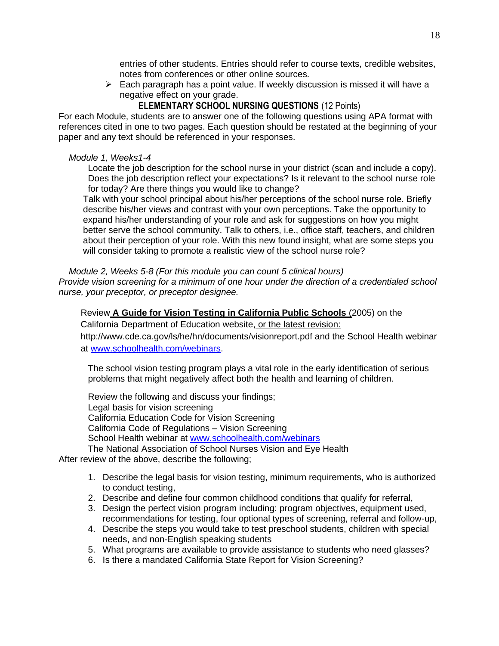entries of other students. Entries should refer to course texts, credible websites, notes from conferences or other online sources.

➢ Each paragraph has a point value. If weekly discussion is missed it will have a negative effect on your grade.

**ELEMENTARY SCHOOL NURSING QUESTIONS** (12 Points)

For each Module, students are to answer one of the following questions using APA format with references cited in one to two pages. Each question should be restated at the beginning of your paper and any text should be referenced in your responses.

#### *Module 1, Weeks1-4*

Locate the job description for the school nurse in your district (scan and include a copy). Does the job description reflect your expectations? Is it relevant to the school nurse role for today? Are there things you would like to change?

Talk with your school principal about his/her perceptions of the school nurse role. Briefly describe his/her views and contrast with your own perceptions. Take the opportunity to expand his/her understanding of your role and ask for suggestions on how you might better serve the school community. Talk to others, i.e., office staff, teachers, and children about their perception of your role. With this new found insight, what are some steps you will consider taking to promote a realistic view of the school nurse role?

 *Module 2, Weeks 5-8 (For this module you can count 5 clinical hours)*

*Provide vision screening for a minimum of one hour under the direction of a credentialed school nurse, your preceptor, or preceptor designee.*

Review **A Guide for Vision Testing in California Public Schools** (2005) on the California Department of Education website, or the latest revision:

http://www.cde.ca.gov/ls/he/hn/documents/visionreport.pdf and the School Health webinar at [www.schoolhealth.com/webinars.](http://www.schoolhealth.com/webinars)

The school vision testing program plays a vital role in the early identification of serious problems that might negatively affect both the health and learning of children.

Review the following and discuss your findings; Legal basis for vision screening California Education Code for Vision Screening California Code of Regulations – Vision Screening School Health webinar at [www.schoolhealth.com/webinars](http://www.schoolhealth.com/webinars) The National Association of School Nurses Vision and Eye Health

After review of the above, describe the following;

- 1. Describe the legal basis for vision testing, minimum requirements, who is authorized to conduct testing,
- 2. Describe and define four common childhood conditions that qualify for referral,
- 3. Design the perfect vision program including: program objectives, equipment used, recommendations for testing, four optional types of screening, referral and follow-up,
- 4. Describe the steps you would take to test preschool students, children with special needs, and non-English speaking students
- 5. What programs are available to provide assistance to students who need glasses?
- 6. Is there a mandated California State Report for Vision Screening?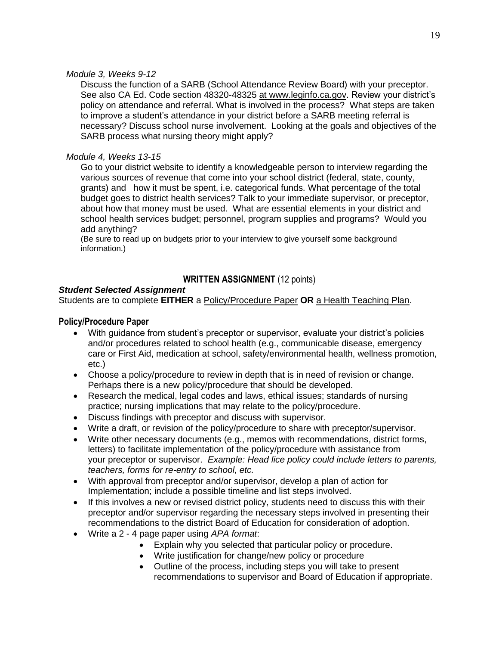#### *Module 3, Weeks 9-12*

Discuss the function of a SARB (School Attendance Review Board) with your preceptor. See also CA Ed. Code section 48320-48325 at www.leginfo.ca.gov. Review your district's policy on attendance and referral. What is involved in the process? What steps are taken to improve a student's attendance in your district before a SARB meeting referral is necessary? Discuss school nurse involvement. Looking at the goals and objectives of the SARB process what nursing theory might apply?

#### *Module 4, Weeks 13-15*

Go to your district website to identify a knowledgeable person to interview regarding the various sources of revenue that come into your school district (federal, state, county, grants) and how it must be spent, i.e. categorical funds. What percentage of the total budget goes to district health services? Talk to your immediate supervisor, or preceptor, about how that money must be used. What are essential elements in your district and school health services budget; personnel, program supplies and programs? Would you add anything?

(Be sure to read up on budgets prior to your interview to give yourself some background information.)

## **WRITTEN ASSIGNMENT** (12 points)

#### *Student Selected Assignment*

Students are to complete **EITHER** a Policy/Procedure Paper **OR** a Health Teaching Plan.

#### **Policy/Procedure Paper**

- With guidance from student's preceptor or supervisor, evaluate your district's policies and/or procedures related to school health (e.g., communicable disease, emergency care or First Aid, medication at school, safety/environmental health, wellness promotion, etc.)
- Choose a policy/procedure to review in depth that is in need of revision or change. Perhaps there is a new policy/procedure that should be developed.
- Research the medical, legal codes and laws, ethical issues; standards of nursing practice; nursing implications that may relate to the policy/procedure.
- Discuss findings with preceptor and discuss with supervisor.
- Write a draft, or revision of the policy/procedure to share with preceptor/supervisor.
- Write other necessary documents (e.g., memos with recommendations, district forms, letters) to facilitate implementation of the policy/procedure with assistance from your preceptor or supervisor. *Example: Head lice policy could include letters to parents, teachers, forms for re-entry to school, etc.*
- With approval from preceptor and/or supervisor, develop a plan of action for Implementation; include a possible timeline and list steps involved.
- If this involves a new or revised district policy, students need to discuss this with their preceptor and/or supervisor regarding the necessary steps involved in presenting their recommendations to the district Board of Education for consideration of adoption.
- Write a 2 4 page paper using *APA format*:
	- Explain why you selected that particular policy or procedure.
	- Write justification for change/new policy or procedure
	- Outline of the process, including steps you will take to present recommendations to supervisor and Board of Education if appropriate.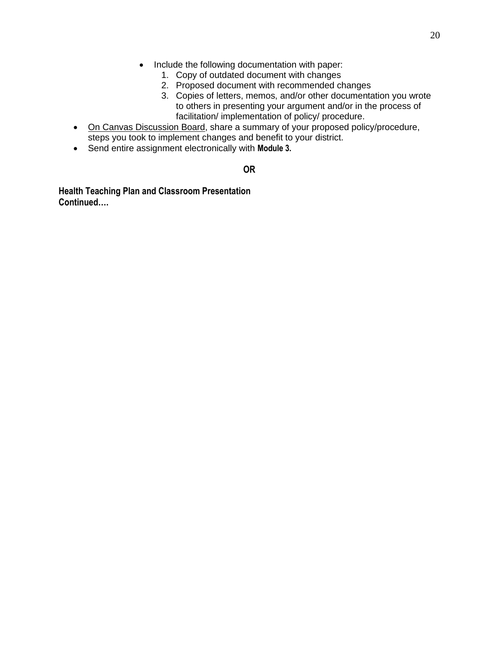- Include the following documentation with paper:
	- 1. Copy of outdated document with changes
	- 2. Proposed document with recommended changes
	- 3. Copies of letters, memos, and/or other documentation you wrote to others in presenting your argument and/or in the process of facilitation/ implementation of policy/ procedure.
- On Canvas Discussion Board, share a summary of your proposed policy/procedure, steps you took to implement changes and benefit to your district.
- Send entire assignment electronically with **Module 3.**

#### **OR**

**Health Teaching Plan and Classroom Presentation Continued….**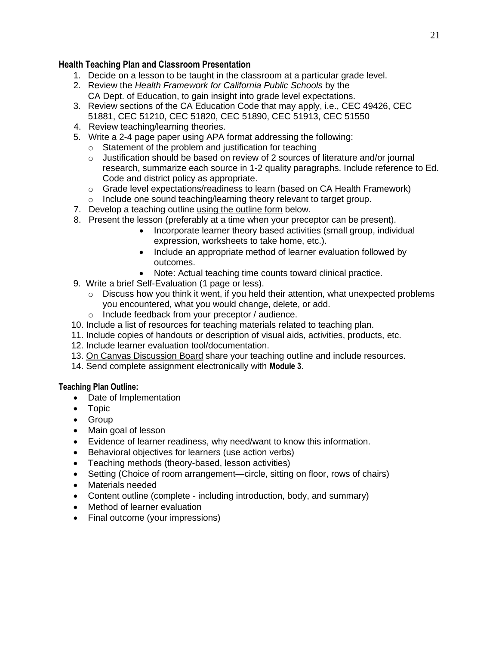## **Health Teaching Plan and Classroom Presentation**

- 1. Decide on a lesson to be taught in the classroom at a particular grade level.
- 2. Review the *Health Framework for California Public Schools* by the CA Dept. of Education, to gain insight into grade level expectations.
- 3. Review sections of the CA Education Code that may apply, i.e., CEC 49426, CEC 51881, CEC 51210, CEC 51820, CEC 51890, CEC 51913, CEC 51550
- 4. Review teaching/learning theories.
- 5. Write a 2-4 page paper using APA format addressing the following:
	- o Statement of the problem and justification for teaching
	- o Justification should be based on review of 2 sources of literature and/or journal research, summarize each source in 1-2 quality paragraphs. Include reference to Ed. Code and district policy as appropriate.
	- $\circ$  Grade level expectations/readiness to learn (based on CA Health Framework)
	- o Include one sound teaching/learning theory relevant to target group.
- 7. Develop a teaching outline using the outline form below.
- 8. Present the lesson (preferably at a time when your preceptor can be present).
	- Incorporate learner theory based activities (small group, individual expression, worksheets to take home, etc.).
	- Include an appropriate method of learner evaluation followed by outcomes.
	- Note: Actual teaching time counts toward clinical practice.
- 9.Write a brief Self-Evaluation (1 page or less).
	- o Discuss how you think it went, if you held their attention, what unexpected problems you encountered, what you would change, delete, or add.
	- o Include feedback from your preceptor / audience.
- 10. Include a list of resources for teaching materials related to teaching plan.
- 11. Include copies of handouts or description of visual aids, activities, products, etc.
- 12. Include learner evaluation tool/documentation.
- 13. On Canvas Discussion Board share your teaching outline and include resources.
- 14. Send complete assignment electronically with **Module 3**.

#### **Teaching Plan Outline:**

- Date of Implementation
- Topic
- Group
- Main goal of lesson
- Evidence of learner readiness, why need/want to know this information.
- Behavioral objectives for learners (use action verbs)
- Teaching methods (theory-based, lesson activities)
- Setting (Choice of room arrangement—circle, sitting on floor, rows of chairs)
- Materials needed
- Content outline (complete including introduction, body, and summary)
- Method of learner evaluation
- Final outcome (your impressions)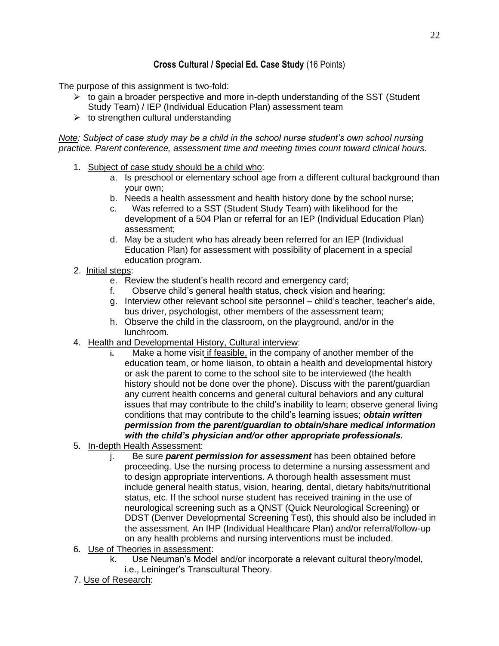## **Cross Cultural / Special Ed. Case Study** (16 Points)

The purpose of this assignment is two-fold:

- $\triangleright$  to gain a broader perspective and more in-depth understanding of the SST (Student Study Team) / IEP (Individual Education Plan) assessment team
- $\triangleright$  to strengthen cultural understanding

*Note: Subject of case study may be a child in the school nurse student's own school nursing practice. Parent conference, assessment time and meeting times count toward clinical hours.*

- 1. Subject of case study should be a child who:
	- a. Is preschool or elementary school age from a different cultural background than your own;
	- b. Needs a health assessment and health history done by the school nurse;
	- c. Was referred to a SST (Student Study Team) with likelihood for the development of a 504 Plan or referral for an IEP (Individual Education Plan) assessment;
	- d. May be a student who has already been referred for an IEP (Individual Education Plan) for assessment with possibility of placement in a special education program.
- 2. Initial steps:
	- e. Review the student's health record and emergency card;
	- f. Observe child's general health status, check vision and hearing;
	- g. Interview other relevant school site personnel child's teacher, teacher's aide, bus driver, psychologist, other members of the assessment team;
	- h. Observe the child in the classroom, on the playground, and/or in the lunchroom.
- 4. Health and Developmental History, Cultural interview:
	- **i.** Make a home visit if feasible, in the company of another member of the education team, or home liaison, to obtain a health and developmental history or ask the parent to come to the school site to be interviewed (the health history should not be done over the phone). Discuss with the parent/guardian any current health concerns and general cultural behaviors and any cultural issues that may contribute to the child's inability to learn; observe general living conditions that may contribute to the child's learning issues; *obtain written permission from the parent/guardian to obtain/share medical information with the child's physician and/or other appropriate professionals.*
- 5. In-depth Health Assessment:
	- j. Be sure *parent permission for assessment* has been obtained before proceeding. Use the nursing process to determine a nursing assessment and to design appropriate interventions. A thorough health assessment must include general health status, vision, hearing, dental, dietary habits/nutritional status, etc. If the school nurse student has received training in the use of neurological screening such as a QNST (Quick Neurological Screening) or DDST (Denver Developmental Screening Test), this should also be included in the assessment. An IHP (Individual Healthcare Plan) and/or referral/follow-up on any health problems and nursing interventions must be included.
- 6. Use of Theories in assessment:
	- k. Use Neuman's Model and/or incorporate a relevant cultural theory/model, i.e., Leininger's Transcultural Theory.
- 7. Use of Research: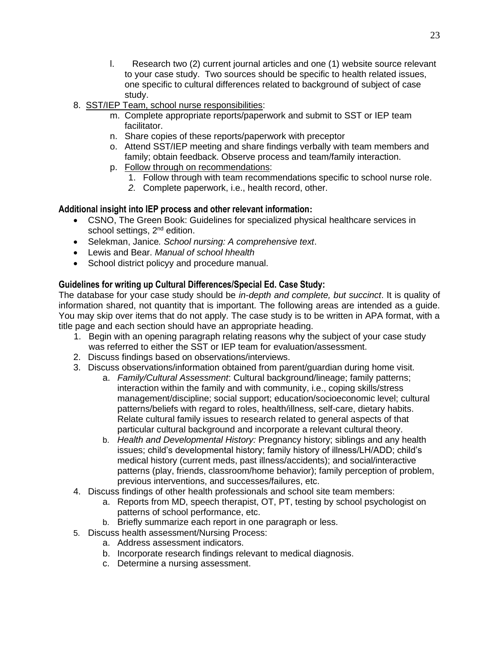- l. Research two (2) current journal articles and one (1) website source relevant to your case study. Two sources should be specific to health related issues, one specific to cultural differences related to background of subject of case study.
- 8. SST/IEP Team, school nurse responsibilities:
	- m. Complete appropriate reports/paperwork and submit to SST or IEP team facilitator.
	- n. Share copies of these reports/paperwork with preceptor
	- o. Attend SST/IEP meeting and share findings verbally with team members and family; obtain feedback. Observe process and team/family interaction.
	- p. Follow through on recommendations:
		- 1. Follow through with team recommendations specific to school nurse role.
	- *2.* Complete paperwork, i.e., health record, other.

### **Additional insight into IEP process and other relevant information:**

- CSNO, The Green Book: Guidelines for specialized physical healthcare services in school settings, 2<sup>nd</sup> edition.
- Selekman, Janice*. School nursing: A comprehensive text*.
- Lewis and Bear. *Manual of school hhealth*
- School district policyy and procedure manual.

### **Guidelines for writing up Cultural Differences/Special Ed. Case Study:**

The database for your case study should be *in-depth and complete, but succinct*. It is quality of information shared, not quantity that is important. The following areas are intended as a guide. You may skip over items that do not apply. The case study is to be written in APA format, with a title page and each section should have an appropriate heading.

- 1. Begin with an opening paragraph relating reasons why the subject of your case study was referred to either the SST or IEP team for evaluation/assessment.
- 2. Discuss findings based on observations/interviews.
- 3. Discuss observations/information obtained from parent/guardian during home visit.
	- a. *Family/Cultural Assessment*: Cultural background/lineage; family patterns; interaction within the family and with community, i.e., coping skills/stress management/discipline; social support; education/socioeconomic level; cultural patterns/beliefs with regard to roles, health/illness, self-care, dietary habits. Relate cultural family issues to research related to general aspects of that particular cultural background and incorporate a relevant cultural theory.
	- b. *Health and Developmental History:* Pregnancy history; siblings and any health issues; child's developmental history; family history of illness/LH/ADD; child's medical history (current meds, past illness/accidents); and social/interactive patterns (play, friends, classroom/home behavior); family perception of problem, previous interventions, and successes/failures, etc.
- 4. Discuss findings of other health professionals and school site team members:
	- a. Reports from MD, speech therapist, OT, PT, testing by school psychologist on patterns of school performance, etc.
	- b. Briefly summarize each report in one paragraph or less.
- 5. Discuss health assessment/Nursing Process:
	- a. Address assessment indicators.
	- b. Incorporate research findings relevant to medical diagnosis.
	- c. Determine a nursing assessment.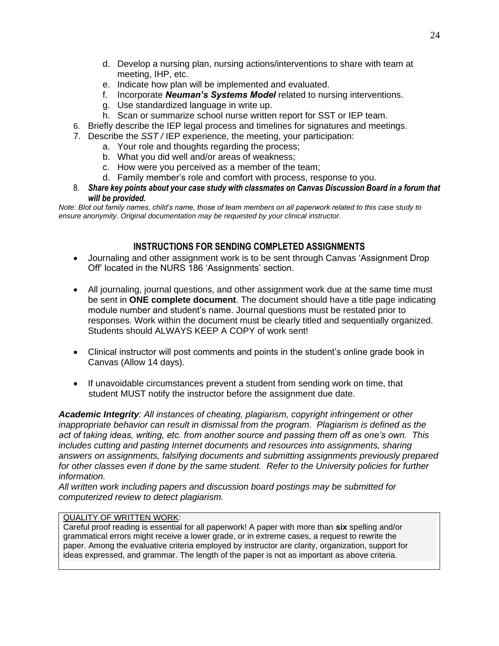- d. Develop a nursing plan, nursing actions/interventions to share with team at meeting, IHP, etc.
- e. Indicate how plan will be implemented and evaluated.
- f. Incorporate *Neuman's Systems Model* related to nursing interventions.
- g. Use standardized language in write up.
- h. Scan or summarize school nurse written report for SST or IEP team.
- 6. Briefly describe the IEP legal process and timelines for signatures and meetings.
- 7. Describe the *SST /* IEP experience, the meeting, your participation:
	- a. Your role and thoughts regarding the process;
	- b. What you did well and/or areas of weakness;
	- c. How were you perceived as a member of the team;
	- d. Family member's role and comfort with process, response to you.
- 8. *Share key points about your case study with classmates on Canvas Discussion Board in a forum that will be provided.*

*Note: Blot out family names, child's name, those of team members on all paperwork related to this case study to ensure anonymity. Original documentation may be requested by your clinical instructor.* 

## **INSTRUCTIONS FOR SENDING COMPLETED ASSIGNMENTS**

- Journaling and other assignment work is to be sent through Canvas 'Assignment Drop Off' located in the NURS 186 'Assignments' section.
- All journaling, journal questions, and other assignment work due at the same time must be sent in **ONE complete document**. The document should have a title page indicating module number and student's name. Journal questions must be restated prior to responses. Work within the document must be clearly titled and sequentially organized. Students should ALWAYS KEEP A COPY of work sent!
- Clinical instructor will post comments and points in the student's online grade book in Canvas (Allow 14 days).
- If unavoidable circumstances prevent a student from sending work on time, that student MUST notify the instructor before the assignment due date.

*Academic Integrity: All instances of cheating, plagiarism, copyright infringement or other inappropriate behavior can result in dismissal from the program. Plagiarism is defined as the act of taking ideas, writing, etc. from another source and passing them off as one's own. This includes cutting and pasting Internet documents and resources into assignments, sharing answers on assignments, falsifying documents and submitting assignments previously prepared*  for other classes even if done by the same student. Refer to the University policies for further *information.* 

*All written work including papers and discussion board postings may be submitted for computerized review to detect plagiarism.* 

#### QUALITY OF WRITTEN WORK:

Careful proof reading is essential for all paperwork! A paper with more than **six** spelling and/or grammatical errors might receive a lower grade, or in extreme cases, a request to rewrite the paper. Among the evaluative criteria employed by instructor are clarity, organization, support for ideas expressed, and grammar. The length of the paper is not as important as above criteria.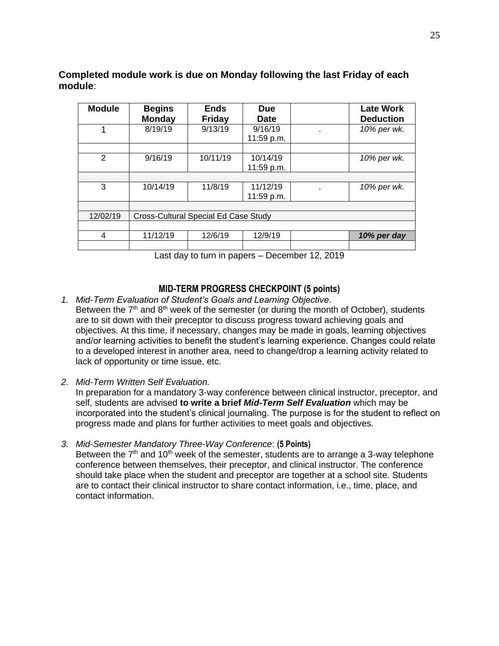**Module Begins Monday Ends Friday Due Date Late Work Deduction** 1 8/19/19 9/13/19 9/16/19 11:59 p.m. . *10% per wk.* 2 9/16/19 10/11/19 10/14/19 11:59 p.m. *10% per wk.* 3 10/14/19 11/8/19 11/12/19 11:59 p.m. . *10% per wk.* 12/02/19 | Cross-Cultural Special Ed Case Study 4 11/12/19 12/6/19 12/9/19 *10% per day*

**Completed module work is due on Monday following the last Friday of each module**:

Last day to turn in papers – December 12, 2019

### **MID-TERM PROGRESS CHECKPOINT (5 points)**

- *1. Mid-Term Evaluation of Student's Goals and Learning Objective*. Between the  $7<sup>th</sup>$  and  $8<sup>th</sup>$  week of the semester (or during the month of October), students are to sit down with their preceptor to discuss progress toward achieving goals and objectives. At this time, if necessary, changes may be made in goals, learning objectives and/or learning activities to benefit the student's learning experience. Changes could relate to a developed interest in another area, need to change/drop a learning activity related to lack of opportunity or time issue, etc.
- *2. Mid-Term Written Self Evaluation.*

In preparation for a mandatory 3-way conference between clinical instructor, preceptor, and self, students are advised **to write a brief** *Mid-Term Self Evaluation* which may be incorporated into the student's clinical journaling. The purpose is for the student to reflect on progress made and plans for further activities to meet goals and objectives.

*3. Mid-Semester Mandatory Three-Way Conference*: **(5 Points)** Between the  $7<sup>th</sup>$  and 10<sup>th</sup> week of the semester, students are to arrange a 3-way telephone conference between themselves, their preceptor, and clinical instructor. The conference should take place when the student and preceptor are together at a school site. Students are to contact their clinical instructor to share contact information, i.e., time, place, and contact information.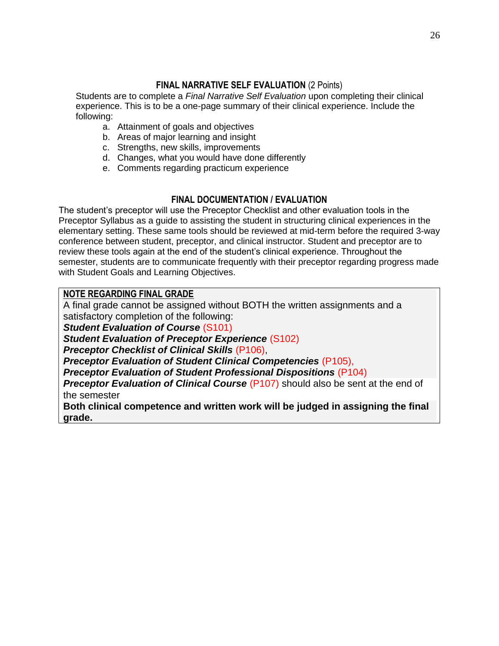## **FINAL NARRATIVE SELF EVALUATION** (2 Points)

Students are to complete a *Final Narrative Self Evaluation* upon completing their clinical experience. This is to be a one-page summary of their clinical experience. Include the following:

- a. Attainment of goals and objectives
- b. Areas of major learning and insight
- c. Strengths, new skills, improvements
- d. Changes, what you would have done differently
- e. Comments regarding practicum experience

## **FINAL DOCUMENTATION / EVALUATION**

The student's preceptor will use the Preceptor Checklist and other evaluation tools in the Preceptor Syllabus as a guide to assisting the student in structuring clinical experiences in the elementary setting. These same tools should be reviewed at mid-term before the required 3-way conference between student, preceptor, and clinical instructor. Student and preceptor are to review these tools again at the end of the student's clinical experience. Throughout the semester, students are to communicate frequently with their preceptor regarding progress made with Student Goals and Learning Objectives.

## **NOTE REGARDING FINAL GRADE**

A final grade cannot be assigned without BOTH the written assignments and a satisfactory completion of the following: *Student Evaluation of Course* (S101) *Student Evaluation of Preceptor Experience* (S102) *Preceptor Checklist of Clinical Skills* (P106),

*Preceptor Evaluation of Student Clinical Competencies* (P105),

*Preceptor Evaluation of Student Professional Dispositions* (P104)

**Preceptor Evaluation of Clinical Course (P107)** should also be sent at the end of the semester

**Both clinical competence and written work will be judged in assigning the final grade.**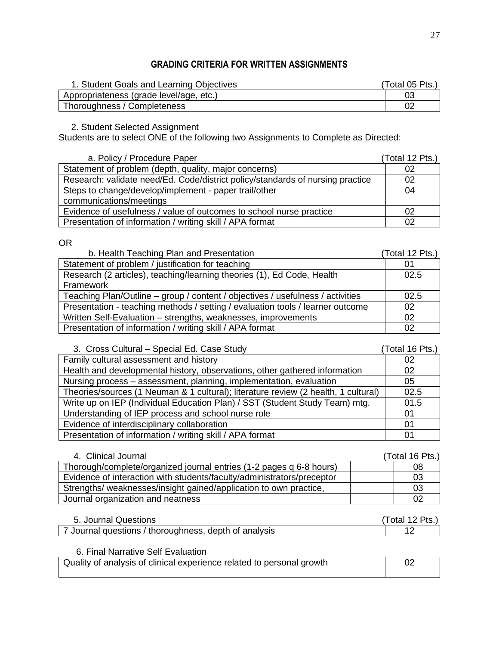## **GRADING CRITERIA FOR WRITTEN ASSIGNMENTS**

| 1. Student Goals and Learning Objectives | (Total 05 Pts., |
|------------------------------------------|-----------------|
| Appropriateness (grade level/age, etc.)  |                 |
| Thoroughness / Completeness              |                 |

2. Student Selected Assignment

Students are to select ONE of the following two Assignments to Complete as Directed:

| a. Policy / Procedure Paper                                                    | (Total 12 Pts.) |
|--------------------------------------------------------------------------------|-----------------|
| Statement of problem (depth, quality, major concerns)                          | 02              |
| Research: validate need/Ed. Code/district policy/standards of nursing practice | 02              |
| Steps to change/develop/implement - paper trail/other                          | 04              |
| communications/meetings                                                        |                 |
| Evidence of usefulness / value of outcomes to school nurse practice            | 02              |
| Presentation of information / writing skill / APA format                       | 02              |

OR

| b. Health Teaching Plan and Presentation                                       | (Total 12 Pts.) |
|--------------------------------------------------------------------------------|-----------------|
| Statement of problem / justification for teaching                              | 01              |
| Research (2 articles), teaching/learning theories (1), Ed Code, Health         | 02.5            |
| Framework                                                                      |                 |
| Teaching Plan/Outline – group / content / objectives / usefulness / activities | 02.5            |
| Presentation - teaching methods / setting / evaluation tools / learner outcome | 02              |
| Written Self-Evaluation – strengths, weaknesses, improvements                  | 02              |
| Presentation of information / writing skill / APA format                       | 02              |

| 3. Cross Cultural - Special Ed. Case Study                                         | (Total 16 Pts.) |
|------------------------------------------------------------------------------------|-----------------|
| Family cultural assessment and history                                             | 02              |
| Health and developmental history, observations, other gathered information         | 02              |
| Nursing process – assessment, planning, implementation, evaluation                 | 05              |
| Theories/sources (1 Neuman & 1 cultural); literature review (2 health, 1 cultural) | 02.5            |
| Write up on IEP (Individual Education Plan) / SST (Student Study Team) mtg.        | 01.5            |
| Understanding of IEP process and school nurse role                                 | 01              |
| Evidence of interdisciplinary collaboration                                        | 01              |
| Presentation of information / writing skill / APA format                           | 01              |

| 4. Clinical Journal                                                    | (Total 16 Pts.) |
|------------------------------------------------------------------------|-----------------|
| Thorough/complete/organized journal entries (1-2 pages q 6-8 hours)    | 08              |
| Evidence of interaction with students/faculty/administrators/preceptor | 03              |
| Strengths/weaknesses/insight gained/application to own practice,       | 03              |
| Journal organization and neatness                                      | 02              |

| Journal Questions                                   | Pts.<br>.otal 1: |
|-----------------------------------------------------|------------------|
| Journal questions / thoroughness, depth of analysis |                  |

6. Final Narrative Self Evaluation

| Quality of analysis of clinical experience related to personal growth |  |
|-----------------------------------------------------------------------|--|
|                                                                       |  |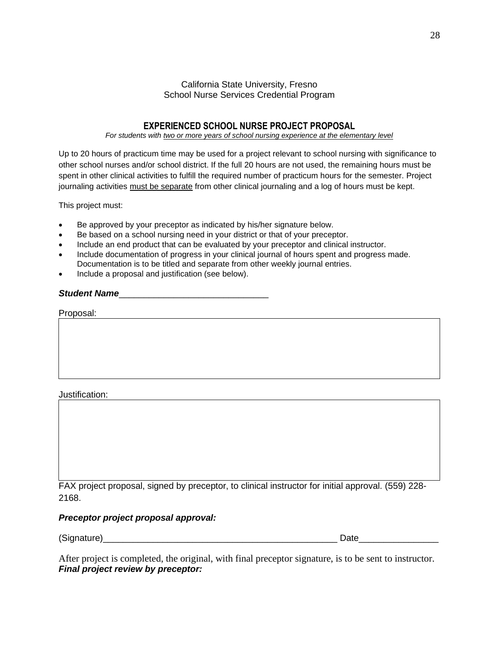#### California State University, Fresno School Nurse Services Credential Program

### **EXPERIENCED SCHOOL NURSE PROJECT PROPOSAL**

#### *For students with two or more years of school nursing experience at the elementary level*

Up to 20 hours of practicum time may be used for a project relevant to school nursing with significance to other school nurses and/or school district. If the full 20 hours are not used, the remaining hours must be spent in other clinical activities to fulfill the required number of practicum hours for the semester. Project journaling activities must be separate from other clinical journaling and a log of hours must be kept.

This project must:

- Be approved by your preceptor as indicated by his/her signature below.
- Be based on a school nursing need in your district or that of your preceptor.
- Include an end product that can be evaluated by your preceptor and clinical instructor.
- Include documentation of progress in your clinical journal of hours spent and progress made. Documentation is to be titled and separate from other weekly journal entries.
- Include a proposal and justification (see below).

#### **Student Name**

| Proposal:<br>ווכצותי |  |  |  |
|----------------------|--|--|--|
|                      |  |  |  |

Justification:

FAX project proposal, signed by preceptor, to clinical instructor for initial approval. (559) 228- 2168.

#### *Preceptor project proposal approval:*

(Signature) example of the state of the state of the state of the state of the state of the state of the state of the state of the state of the state of the state of the state of the state of the state of the state of the

| )ate |  |  |  |  |
|------|--|--|--|--|
|      |  |  |  |  |

After project is completed, the original, with final preceptor signature, is to be sent to instructor. *Final project review by preceptor:*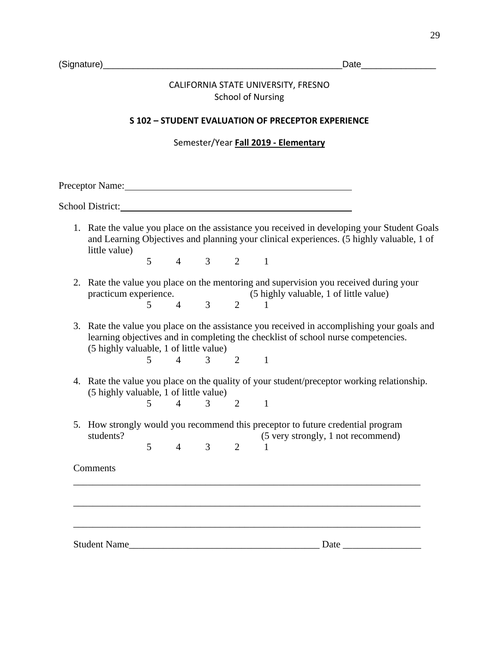## CALIFORNIA STATE UNIVERSITY, FRESNO School of Nursing

#### **S 102 – STUDENT EVALUATION OF PRECEPTOR EXPERIENCE**

Semester/Year **Fall 2019 - Elementary**

Preceptor Name: 2008. Experience and the extent of the extent of the extent of the extent of the extent of the extent of the extent of the extent of the extent of the extent of the extent of the extent of the extent of the

School District:

1. Rate the value you place on the assistance you received in developing your Student Goals and Learning Objectives and planning your clinical experiences. (5 highly valuable, 1 of little value)

5 4 3 2 1

- 2. Rate the value you place on the mentoring and supervision you received during your practicum experience. (5 highly valuable, 1 of little value) 5 4 3 2 1
- 3. Rate the value you place on the assistance you received in accomplishing your goals and learning objectives and in completing the checklist of school nurse competencies. (5 highly valuable, 1 of little value)

5 4 3 2 1

- 4. Rate the value you place on the quality of your student/preceptor working relationship. (5 highly valuable, 1 of little value)
	- 5 4 3 2 1
- 5. How strongly would you recommend this preceptor to future credential program students? (5 very strongly, 1 not recommend) 5 4 3 2 1

\_\_\_\_\_\_\_\_\_\_\_\_\_\_\_\_\_\_\_\_\_\_\_\_\_\_\_\_\_\_\_\_\_\_\_\_\_\_\_\_\_\_\_\_\_\_\_\_\_\_\_\_\_\_\_\_\_\_\_\_\_\_\_\_\_\_\_\_\_\_\_

\_\_\_\_\_\_\_\_\_\_\_\_\_\_\_\_\_\_\_\_\_\_\_\_\_\_\_\_\_\_\_\_\_\_\_\_\_\_\_\_\_\_\_\_\_\_\_\_\_\_\_\_\_\_\_\_\_\_\_\_\_\_\_\_\_\_\_\_\_\_\_

\_\_\_\_\_\_\_\_\_\_\_\_\_\_\_\_\_\_\_\_\_\_\_\_\_\_\_\_\_\_\_\_\_\_\_\_\_\_\_\_\_\_\_\_\_\_\_\_\_\_\_\_\_\_\_\_\_\_\_\_\_\_\_\_\_\_\_\_\_\_\_

Comments

Student Name\_\_\_\_\_\_\_\_\_\_\_\_\_\_\_\_\_\_\_\_\_\_\_\_\_\_\_\_\_\_\_\_\_\_\_\_\_\_\_ Date \_\_\_\_\_\_\_\_\_\_\_\_\_\_\_\_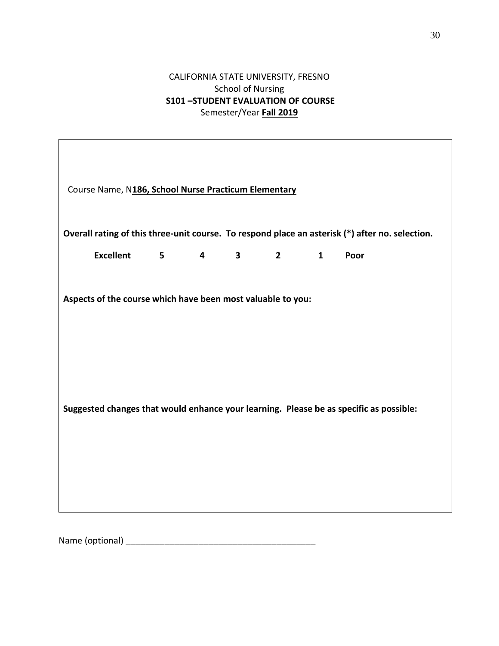## CALIFORNIA STATE UNIVERSITY, FRESNO School of Nursing **S101 –STUDENT EVALUATION OF COURSE** Semester/Year **Fall 2019**

| Course Name, N186, School Nurse Practicum Elementary                                            |             |                         |                         |            |              |      |  |
|-------------------------------------------------------------------------------------------------|-------------|-------------------------|-------------------------|------------|--------------|------|--|
| Overall rating of this three-unit course. To respond place an asterisk (*) after no. selection. |             |                         |                         |            |              |      |  |
| <b>Excellent</b>                                                                                | $5^{\circ}$ | $\overline{\mathbf{4}}$ | $\overline{\mathbf{3}}$ | $2^{\sim}$ | $\mathbf{1}$ | Poor |  |
| Aspects of the course which have been most valuable to you:                                     |             |                         |                         |            |              |      |  |
| Suggested changes that would enhance your learning. Please be as specific as possible:          |             |                         |                         |            |              |      |  |
|                                                                                                 |             |                         |                         |            |              |      |  |

Name (optional) \_\_\_\_\_\_\_\_\_\_\_\_\_\_\_\_\_\_\_\_\_\_\_\_\_\_\_\_\_\_\_\_\_\_\_\_\_\_\_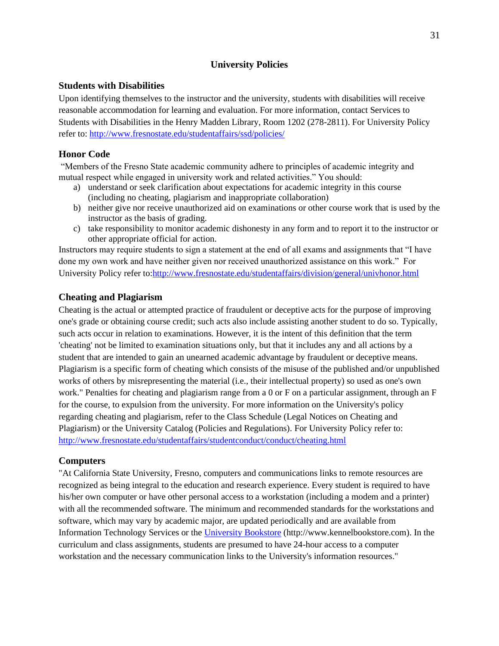#### **University Policies**

#### **Students with Disabilities**

Upon identifying themselves to the instructor and the university, students with disabilities will receive reasonable accommodation for learning and evaluation. For more information, contact Services to Students with Disabilities in the Henry Madden Library, Room 1202 (278-2811). For University Policy refer to: <http://www.fresnostate.edu/studentaffairs/ssd/policies/>

#### **Honor Code**

"Members of the Fresno State academic community adhere to principles of academic integrity and mutual respect while engaged in university work and related activities." You should:

- a) understand or seek clarification about expectations for academic integrity in this course (including no cheating, plagiarism and inappropriate collaboration)
- b) neither give nor receive unauthorized aid on examinations or other course work that is used by the instructor as the basis of grading.
- c) take responsibility to monitor academic dishonesty in any form and to report it to the instructor or other appropriate official for action.

Instructors may require students to sign a statement at the end of all exams and assignments that "I have done my own work and have neither given nor received unauthorized assistance on this work." For University Policy refer to[:http://www.fresnostate.edu/studentaffairs/division/general/univhonor.html](http://www.fresnostate.edu/studentaffairs/division/general/univhonor.html)

#### **Cheating and Plagiarism**

Cheating is the actual or attempted practice of fraudulent or deceptive acts for the purpose of improving one's grade or obtaining course credit; such acts also include assisting another student to do so. Typically, such acts occur in relation to examinations. However, it is the intent of this definition that the term 'cheating' not be limited to examination situations only, but that it includes any and all actions by a student that are intended to gain an unearned academic advantage by fraudulent or deceptive means. Plagiarism is a specific form of cheating which consists of the misuse of the published and/or unpublished works of others by misrepresenting the material (i.e., their intellectual property) so used as one's own work." Penalties for cheating and plagiarism range from a 0 or F on a particular assignment, through an F for the course, to expulsion from the university. For more information on the University's policy regarding cheating and plagiarism, refer to the Class Schedule (Legal Notices on Cheating and Plagiarism) or the University Catalog (Policies and Regulations). For University Policy refer to: <http://www.fresnostate.edu/studentaffairs/studentconduct/conduct/cheating.html>

#### **Computers**

"At California State University, Fresno, computers and communications links to remote resources are recognized as being integral to the education and research experience. Every student is required to have his/her own computer or have other personal access to a workstation (including a modem and a printer) with all the recommended software. The minimum and recommended standards for the workstations and software, which may vary by academic major, are updated periodically and are available from Information Technology Services or the [University Bookstore](http://www.kennelbookstore.com/SiteText.aspx?id=20666) (http://www.kennelbookstore.com). In the curriculum and class assignments, students are presumed to have 24-hour access to a computer workstation and the necessary communication links to the University's information resources."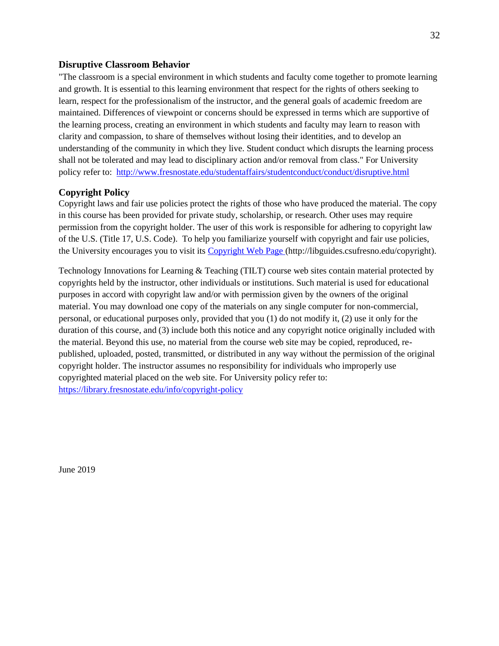#### **Disruptive Classroom Behavior**

"The classroom is a special environment in which students and faculty come together to promote learning and growth. It is essential to this learning environment that respect for the rights of others seeking to learn, respect for the professionalism of the instructor, and the general goals of academic freedom are maintained. Differences of viewpoint or concerns should be expressed in terms which are supportive of the learning process, creating an environment in which students and faculty may learn to reason with clarity and compassion, to share of themselves without losing their identities, and to develop an understanding of the community in which they live. Student conduct which disrupts the learning process shall not be tolerated and may lead to disciplinary action and/or removal from class." For University policy refer to: <http://www.fresnostate.edu/studentaffairs/studentconduct/conduct/disruptive.html>

### **Copyright Policy**

Copyright laws and fair use policies protect the rights of those who have produced the material. The copy in this course has been provided for private study, scholarship, or research. Other uses may require permission from the copyright holder. The user of this work is responsible for adhering to copyright law of the U.S. (Title 17, U.S. Code). To help you familiarize yourself with copyright and fair use policies, the University encourages you to visit its [Copyright Web Page \(http://libguides.csufresno.edu/copyright\).](http://libguides.csufresno.edu/copyright)

Technology Innovations for Learning & Teaching (TILT) course web sites contain material protected by copyrights held by the instructor, other individuals or institutions. Such material is used for educational purposes in accord with copyright law and/or with permission given by the owners of the original material. You may download one copy of the materials on any single computer for non-commercial, personal, or educational purposes only, provided that you (1) do not modify it, (2) use it only for the duration of this course, and (3) include both this notice and any copyright notice originally included with the material. Beyond this use, no material from the course web site may be copied, reproduced, republished, uploaded, posted, transmitted, or distributed in any way without the permission of the original copyright holder. The instructor assumes no responsibility for individuals who improperly use copyrighted material placed on the web site. For University policy refer to: <https://library.fresnostate.edu/info/copyright-policy>

June 2019